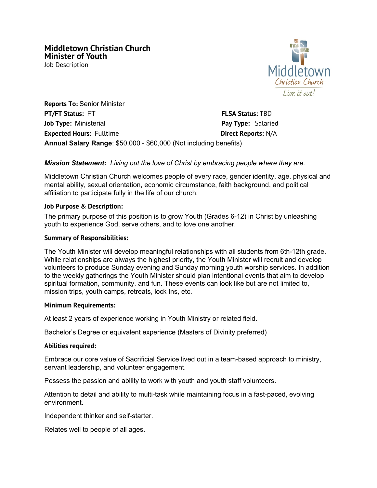Job Description



**Reports To:** Senior Minister **PT/FT Status:** FT **FLSA Status:** TBD **Job Type:** Ministerial **Pay Type:** Salaried **Expected Hours:** Fulltime **Direct Reports:** N/A **Annual Salary Range**: \$50,000 - \$60,000 (Not including benefits)

### *Mission Statement: Living out the love of Christ by embracing people where they are.*

Middletown Christian Church welcomes people of every race, gender identity, age, physical and mental ability, sexual orientation, economic circumstance, faith background, and political affiliation to participate fully in the life of our church.

#### **Job Purpose & Description:**

The primary purpose of this position is to grow Youth (Grades 6-12) in Christ by unleashing youth to experience God, serve others, and to love one another.

#### **Summary of Responsibilities:**

The Youth Minister will develop meaningful relationships with all students from 6th-12th grade. While relationships are always the highest priority, the Youth Minister will recruit and develop volunteers to produce Sunday evening and Sunday morning youth worship services. In addition to the weekly gatherings the Youth Minister should plan intentional events that aim to develop spiritual formation, community, and fun. These events can look like but are not limited to, mission trips, youth camps, retreats, lock Ins, etc.

#### **Minimum Requirements:**

At least 2 years of experience working in Youth Ministry or related field.

Bachelor's Degree or equivalent experience (Masters of Divinity preferred)

#### **Abilities required:**

Embrace our core value of Sacrificial Service lived out in a team-based approach to ministry, servant leadership, and volunteer engagement.

Possess the passion and ability to work with youth and youth staff volunteers.

Attention to detail and ability to multi-task while maintaining focus in a fast-paced, evolving environment.

Independent thinker and self-starter.

Relates well to people of all ages.